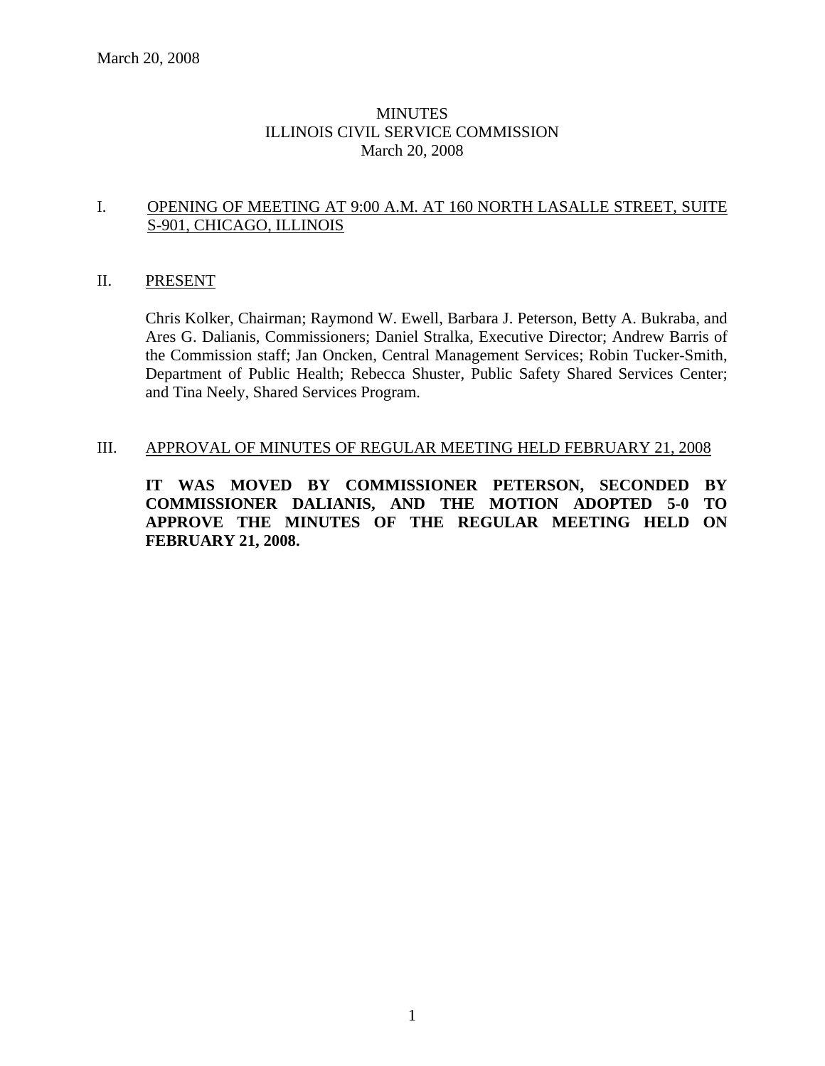# **MINUTES** ILLINOIS CIVIL SERVICE COMMISSION March 20, 2008

# I. OPENING OF MEETING AT 9:00 A.M. AT 160 NORTH LASALLE STREET, SUITE S-901, CHICAGO, ILLINOIS

## II. PRESENT

Chris Kolker, Chairman; Raymond W. Ewell, Barbara J. Peterson, Betty A. Bukraba, and Ares G. Dalianis, Commissioners; Daniel Stralka, Executive Director; Andrew Barris of the Commission staff; Jan Oncken, Central Management Services; Robin Tucker-Smith, Department of Public Health; Rebecca Shuster, Public Safety Shared Services Center; and Tina Neely, Shared Services Program.

# III. APPROVAL OF MINUTES OF REGULAR MEETING HELD FEBRUARY 21, 2008

**IT WAS MOVED BY COMMISSIONER PETERSON, SECONDED BY COMMISSIONER DALIANIS, AND THE MOTION ADOPTED 5-0 TO APPROVE THE MINUTES OF THE REGULAR MEETING HELD ON FEBRUARY 21, 2008.**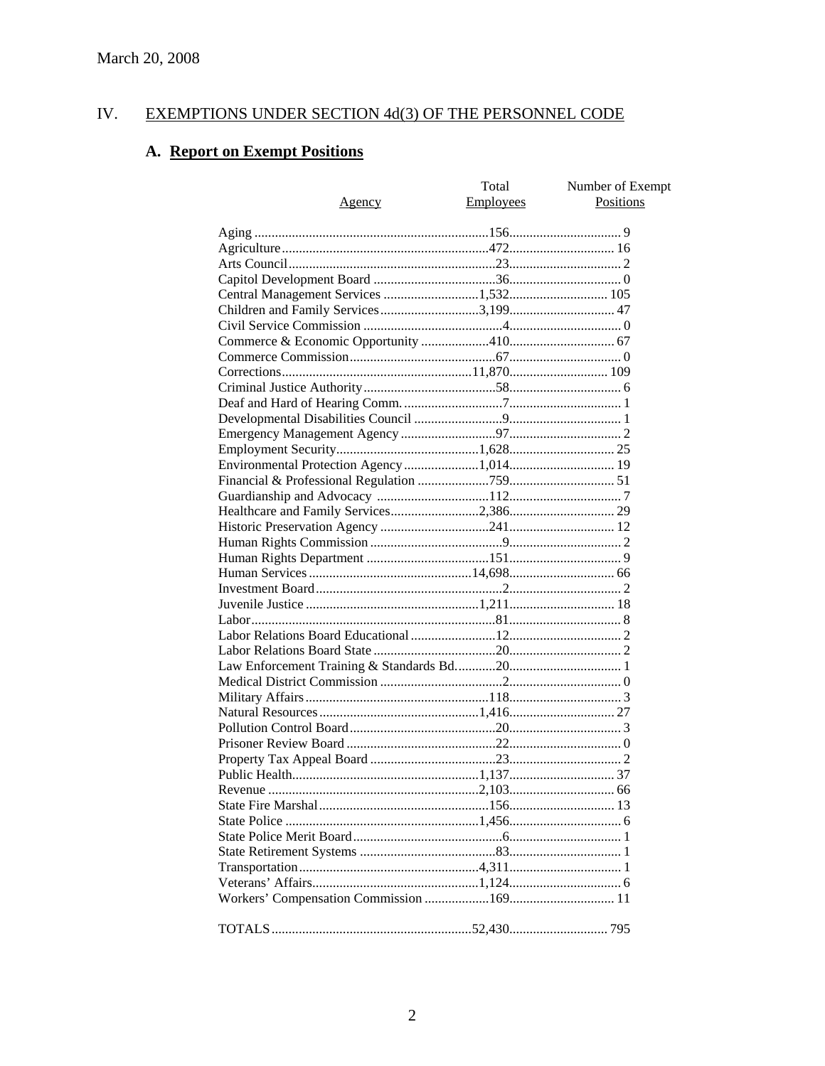#### IV. **EXEMPTIONS UNDER SECTION 4d(3) OF THE PERSONNEL CODE**

# A. Report on Exempt Positions

| <u>Agency</u>                         | Total<br>Employees | Number of Exempt<br><b>Positions</b> |
|---------------------------------------|--------------------|--------------------------------------|
|                                       |                    |                                      |
|                                       |                    |                                      |
|                                       |                    |                                      |
|                                       |                    |                                      |
| Central Management Services 1,532 105 |                    |                                      |
|                                       |                    |                                      |
|                                       |                    |                                      |
|                                       |                    |                                      |
|                                       |                    |                                      |
|                                       |                    |                                      |
|                                       |                    |                                      |
|                                       |                    |                                      |
|                                       |                    |                                      |
|                                       |                    |                                      |
|                                       |                    |                                      |
|                                       |                    |                                      |
|                                       |                    |                                      |
|                                       |                    |                                      |
|                                       |                    |                                      |
|                                       |                    |                                      |
|                                       |                    |                                      |
|                                       |                    |                                      |
|                                       |                    |                                      |
|                                       |                    |                                      |
|                                       |                    |                                      |
|                                       |                    |                                      |
|                                       |                    |                                      |
|                                       |                    |                                      |
|                                       |                    |                                      |
|                                       |                    |                                      |
|                                       |                    |                                      |
|                                       |                    |                                      |
|                                       |                    |                                      |
|                                       |                    |                                      |
|                                       |                    |                                      |
|                                       |                    |                                      |
|                                       |                    |                                      |
|                                       |                    |                                      |
|                                       |                    |                                      |
|                                       |                    |                                      |
|                                       |                    |                                      |
|                                       |                    |                                      |
|                                       |                    |                                      |
|                                       |                    |                                      |
|                                       |                    |                                      |
|                                       |                    |                                      |
|                                       |                    |                                      |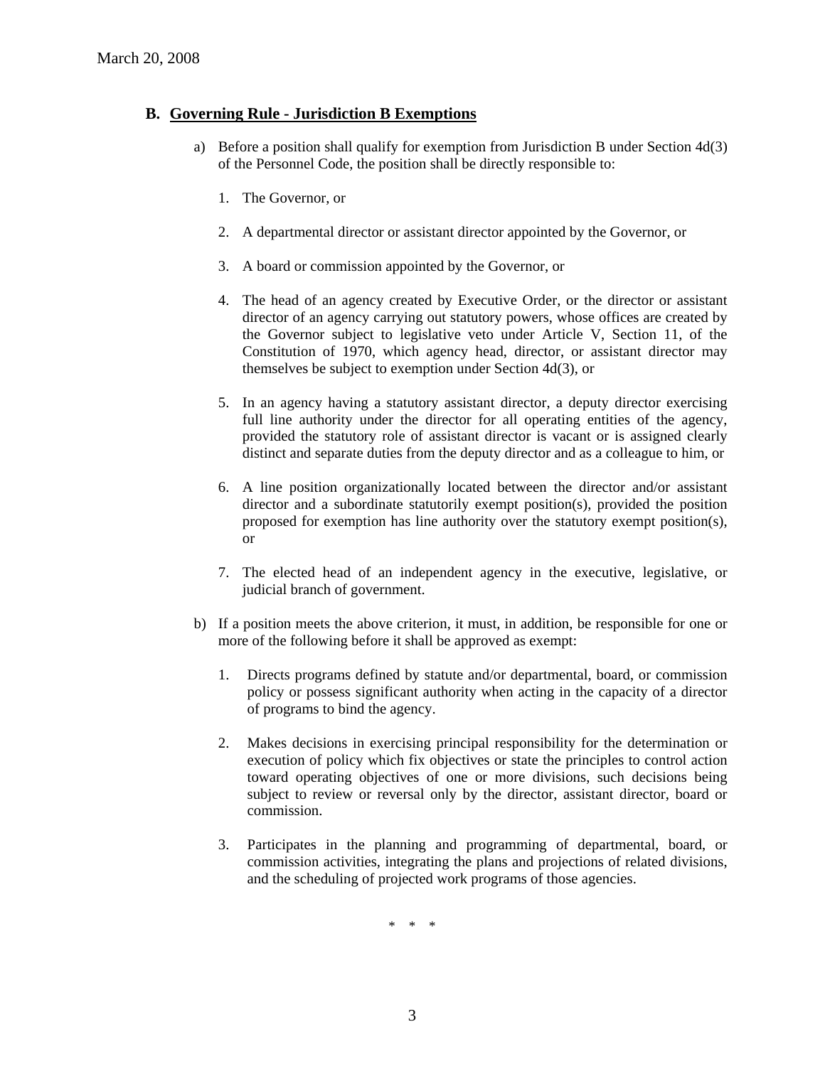# **B. Governing Rule - Jurisdiction B Exemptions**

- a) Before a position shall qualify for exemption from Jurisdiction B under Section 4d(3) of the Personnel Code, the position shall be directly responsible to:
	- 1. The Governor, or
	- 2. A departmental director or assistant director appointed by the Governor, or
	- 3. A board or commission appointed by the Governor, or
	- 4. The head of an agency created by Executive Order, or the director or assistant director of an agency carrying out statutory powers, whose offices are created by the Governor subject to legislative veto under Article V, Section 11, of the Constitution of 1970, which agency head, director, or assistant director may themselves be subject to exemption under Section 4d(3), or
	- 5. In an agency having a statutory assistant director, a deputy director exercising full line authority under the director for all operating entities of the agency, provided the statutory role of assistant director is vacant or is assigned clearly distinct and separate duties from the deputy director and as a colleague to him, or
	- 6. A line position organizationally located between the director and/or assistant director and a subordinate statutorily exempt position(s), provided the position proposed for exemption has line authority over the statutory exempt position(s), or
	- 7. The elected head of an independent agency in the executive, legislative, or judicial branch of government.
- b) If a position meets the above criterion, it must, in addition, be responsible for one or more of the following before it shall be approved as exempt:
	- 1. Directs programs defined by statute and/or departmental, board, or commission policy or possess significant authority when acting in the capacity of a director of programs to bind the agency.
	- 2. Makes decisions in exercising principal responsibility for the determination or execution of policy which fix objectives or state the principles to control action toward operating objectives of one or more divisions, such decisions being subject to review or reversal only by the director, assistant director, board or commission.
	- 3. Participates in the planning and programming of departmental, board, or commission activities, integrating the plans and projections of related divisions, and the scheduling of projected work programs of those agencies.

\* \* \*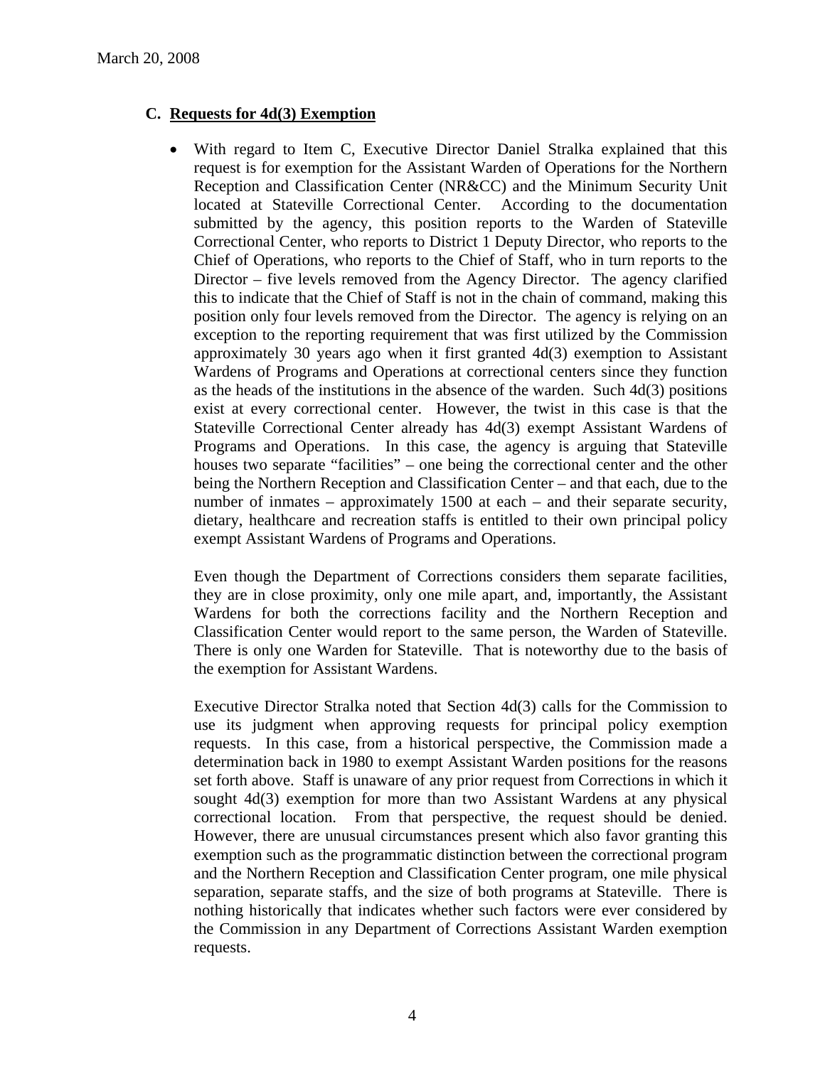# **C. Requests for 4d(3) Exemption**

• With regard to Item C, Executive Director Daniel Stralka explained that this request is for exemption for the Assistant Warden of Operations for the Northern Reception and Classification Center (NR&CC) and the Minimum Security Unit located at Stateville Correctional Center. According to the documentation submitted by the agency, this position reports to the Warden of Stateville Correctional Center, who reports to District 1 Deputy Director, who reports to the Chief of Operations, who reports to the Chief of Staff, who in turn reports to the Director – five levels removed from the Agency Director. The agency clarified this to indicate that the Chief of Staff is not in the chain of command, making this position only four levels removed from the Director. The agency is relying on an exception to the reporting requirement that was first utilized by the Commission approximately 30 years ago when it first granted 4d(3) exemption to Assistant Wardens of Programs and Operations at correctional centers since they function as the heads of the institutions in the absence of the warden. Such 4d(3) positions exist at every correctional center. However, the twist in this case is that the Stateville Correctional Center already has 4d(3) exempt Assistant Wardens of Programs and Operations. In this case, the agency is arguing that Stateville houses two separate "facilities" – one being the correctional center and the other being the Northern Reception and Classification Center – and that each, due to the number of inmates – approximately 1500 at each – and their separate security, dietary, healthcare and recreation staffs is entitled to their own principal policy exempt Assistant Wardens of Programs and Operations.

Even though the Department of Corrections considers them separate facilities, they are in close proximity, only one mile apart, and, importantly, the Assistant Wardens for both the corrections facility and the Northern Reception and Classification Center would report to the same person, the Warden of Stateville. There is only one Warden for Stateville. That is noteworthy due to the basis of the exemption for Assistant Wardens.

Executive Director Stralka noted that Section 4d(3) calls for the Commission to use its judgment when approving requests for principal policy exemption requests. In this case, from a historical perspective, the Commission made a determination back in 1980 to exempt Assistant Warden positions for the reasons set forth above. Staff is unaware of any prior request from Corrections in which it sought 4d(3) exemption for more than two Assistant Wardens at any physical correctional location. From that perspective, the request should be denied. However, there are unusual circumstances present which also favor granting this exemption such as the programmatic distinction between the correctional program and the Northern Reception and Classification Center program, one mile physical separation, separate staffs, and the size of both programs at Stateville. There is nothing historically that indicates whether such factors were ever considered by the Commission in any Department of Corrections Assistant Warden exemption requests.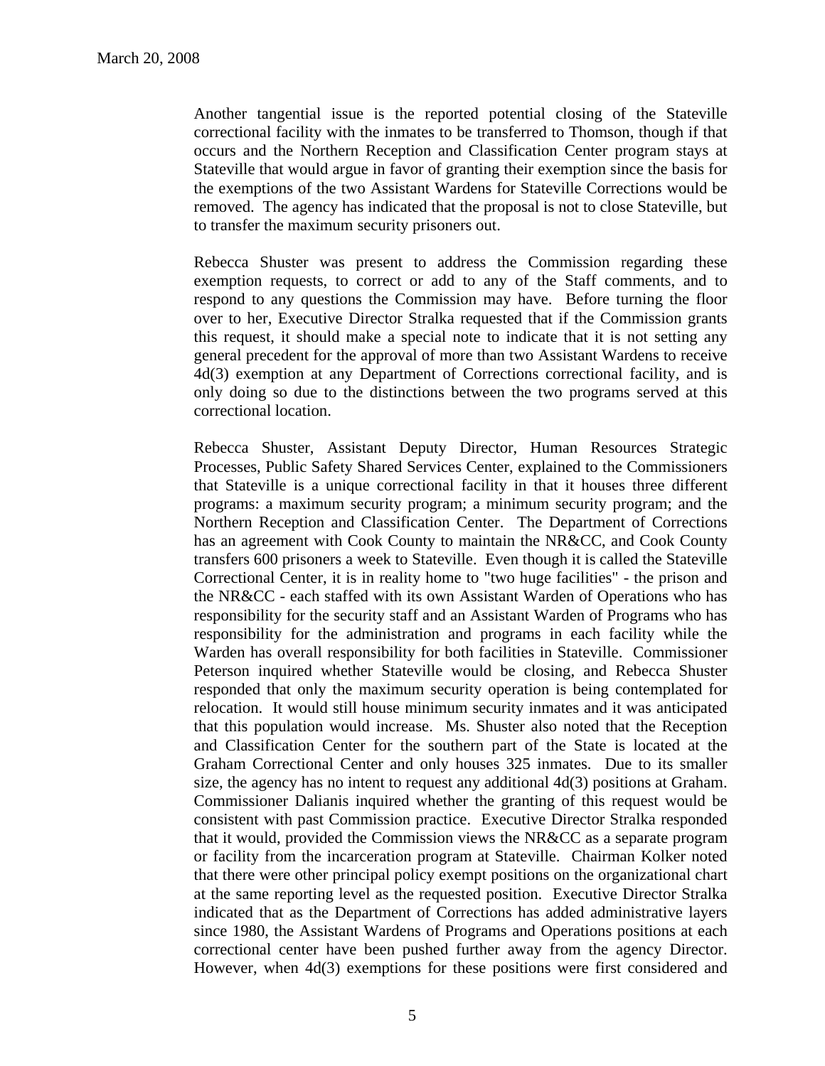Another tangential issue is the reported potential closing of the Stateville correctional facility with the inmates to be transferred to Thomson, though if that occurs and the Northern Reception and Classification Center program stays at Stateville that would argue in favor of granting their exemption since the basis for the exemptions of the two Assistant Wardens for Stateville Corrections would be removed. The agency has indicated that the proposal is not to close Stateville, but to transfer the maximum security prisoners out.

Rebecca Shuster was present to address the Commission regarding these exemption requests, to correct or add to any of the Staff comments, and to respond to any questions the Commission may have. Before turning the floor over to her, Executive Director Stralka requested that if the Commission grants this request, it should make a special note to indicate that it is not setting any general precedent for the approval of more than two Assistant Wardens to receive 4d(3) exemption at any Department of Corrections correctional facility, and is only doing so due to the distinctions between the two programs served at this correctional location.

Rebecca Shuster, Assistant Deputy Director, Human Resources Strategic Processes, Public Safety Shared Services Center, explained to the Commissioners that Stateville is a unique correctional facility in that it houses three different programs: a maximum security program; a minimum security program; and the Northern Reception and Classification Center. The Department of Corrections has an agreement with Cook County to maintain the NR&CC, and Cook County transfers 600 prisoners a week to Stateville. Even though it is called the Stateville Correctional Center, it is in reality home to "two huge facilities" - the prison and the NR&CC - each staffed with its own Assistant Warden of Operations who has responsibility for the security staff and an Assistant Warden of Programs who has responsibility for the administration and programs in each facility while the Warden has overall responsibility for both facilities in Stateville. Commissioner Peterson inquired whether Stateville would be closing, and Rebecca Shuster responded that only the maximum security operation is being contemplated for relocation. It would still house minimum security inmates and it was anticipated that this population would increase. Ms. Shuster also noted that the Reception and Classification Center for the southern part of the State is located at the Graham Correctional Center and only houses 325 inmates. Due to its smaller size, the agency has no intent to request any additional 4d(3) positions at Graham. Commissioner Dalianis inquired whether the granting of this request would be consistent with past Commission practice. Executive Director Stralka responded that it would, provided the Commission views the NR&CC as a separate program or facility from the incarceration program at Stateville. Chairman Kolker noted that there were other principal policy exempt positions on the organizational chart at the same reporting level as the requested position. Executive Director Stralka indicated that as the Department of Corrections has added administrative layers since 1980, the Assistant Wardens of Programs and Operations positions at each correctional center have been pushed further away from the agency Director. However, when 4d(3) exemptions for these positions were first considered and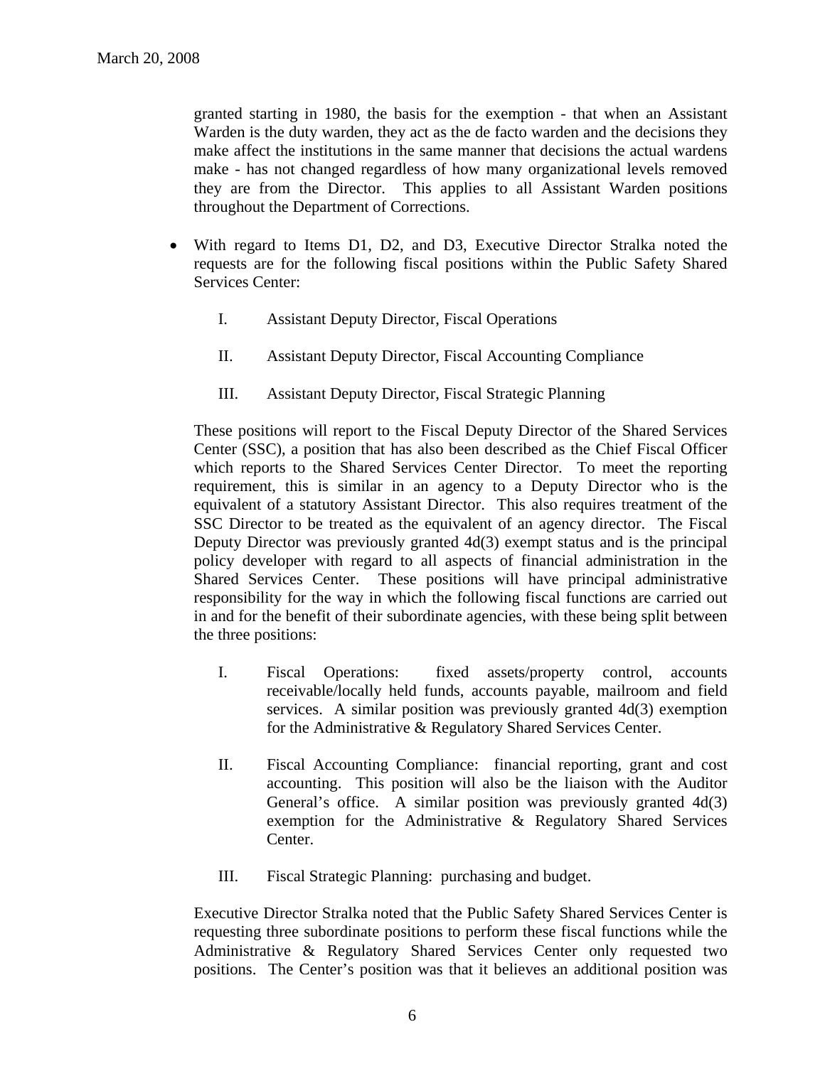granted starting in 1980, the basis for the exemption - that when an Assistant Warden is the duty warden, they act as the de facto warden and the decisions they make affect the institutions in the same manner that decisions the actual wardens make - has not changed regardless of how many organizational levels removed they are from the Director. This applies to all Assistant Warden positions throughout the Department of Corrections.

- With regard to Items D1, D2, and D3, Executive Director Stralka noted the requests are for the following fiscal positions within the Public Safety Shared Services Center:
	- I. Assistant Deputy Director, Fiscal Operations
	- II. Assistant Deputy Director, Fiscal Accounting Compliance
	- III. Assistant Deputy Director, Fiscal Strategic Planning

These positions will report to the Fiscal Deputy Director of the Shared Services Center (SSC), a position that has also been described as the Chief Fiscal Officer which reports to the Shared Services Center Director. To meet the reporting requirement, this is similar in an agency to a Deputy Director who is the equivalent of a statutory Assistant Director. This also requires treatment of the SSC Director to be treated as the equivalent of an agency director. The Fiscal Deputy Director was previously granted 4d(3) exempt status and is the principal policy developer with regard to all aspects of financial administration in the Shared Services Center. These positions will have principal administrative responsibility for the way in which the following fiscal functions are carried out in and for the benefit of their subordinate agencies, with these being split between the three positions:

- I. Fiscal Operations: fixed assets/property control, accounts receivable/locally held funds, accounts payable, mailroom and field services. A similar position was previously granted 4d(3) exemption for the Administrative & Regulatory Shared Services Center.
- II. Fiscal Accounting Compliance: financial reporting, grant and cost accounting. This position will also be the liaison with the Auditor General's office. A similar position was previously granted 4d(3) exemption for the Administrative & Regulatory Shared Services Center.
- III. Fiscal Strategic Planning: purchasing and budget.

Executive Director Stralka noted that the Public Safety Shared Services Center is requesting three subordinate positions to perform these fiscal functions while the Administrative & Regulatory Shared Services Center only requested two positions. The Center's position was that it believes an additional position was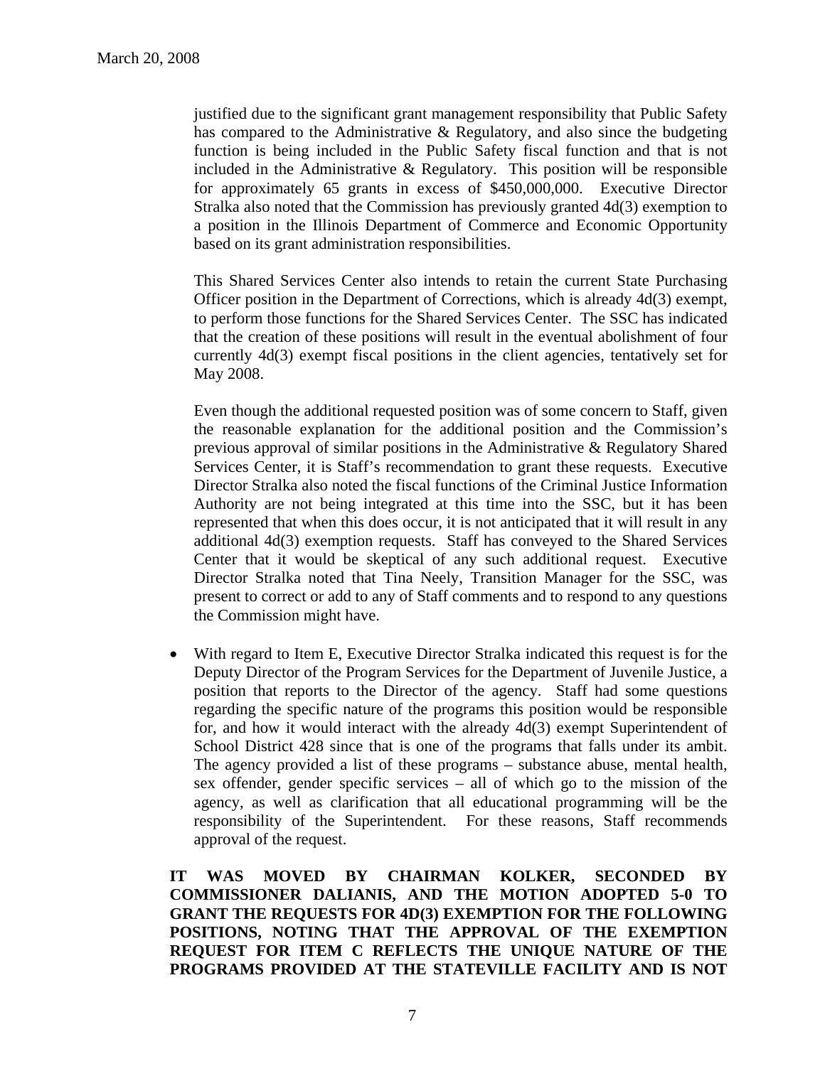justified due to the significant grant management responsibility that Public Safety has compared to the Administrative & Regulatory, and also since the budgeting function is being included in the Public Safety fiscal function and that is not included in the Administrative & Regulatory. This position will be responsible for approximately 65 grants in excess of \$450,000,000. Executive Director Stralka also noted that the Commission has previously granted 4d(3) exemption to a position in the Illinois Department of Commerce and Economic Opportunity based on its grant administration responsibilities.

This Shared Services Center also intends to retain the current State Purchasing Officer position in the Department of Corrections, which is already 4d(3) exempt, to perform those functions for the Shared Services Center. The SSC has indicated that the creation of these positions will result in the eventual abolishment of four currently 4d(3) exempt fiscal positions in the client agencies, tentatively set for May 2008.

Even though the additional requested position was of some concern to Staff, given the reasonable explanation for the additional position and the Commission's previous approval of similar positions in the Administrative & Regulatory Shared Services Center, it is Staff's recommendation to grant these requests. Executive Director Stralka also noted the fiscal functions of the Criminal Justice Information Authority are not being integrated at this time into the SSC, but it has been represented that when this does occur, it is not anticipated that it will result in any additional 4d(3) exemption requests. Staff has conveyed to the Shared Services Center that it would be skeptical of any such additional request. Executive Director Stralka noted that Tina Neely, Transition Manager for the SSC, was present to correct or add to any of Staff comments and to respond to any questions the Commission might have.

• With regard to Item E, Executive Director Stralka indicated this request is for the Deputy Director of the Program Services for the Department of Juvenile Justice, a position that reports to the Director of the agency. Staff had some questions regarding the specific nature of the programs this position would be responsible for, and how it would interact with the already 4d(3) exempt Superintendent of School District 428 since that is one of the programs that falls under its ambit. The agency provided a list of these programs – substance abuse, mental health, sex offender, gender specific services – all of which go to the mission of the agency, as well as clarification that all educational programming will be the responsibility of the Superintendent. For these reasons, Staff recommends approval of the request.

**IT WAS MOVED BY CHAIRMAN KOLKER, SECONDED BY COMMISSIONER DALIANIS, AND THE MOTION ADOPTED 5-0 TO GRANT THE REQUESTS FOR 4D(3) EXEMPTION FOR THE FOLLOWING POSITIONS, NOTING THAT THE APPROVAL OF THE EXEMPTION REQUEST FOR ITEM C REFLECTS THE UNIQUE NATURE OF THE PROGRAMS PROVIDED AT THE STATEVILLE FACILITY AND IS NOT**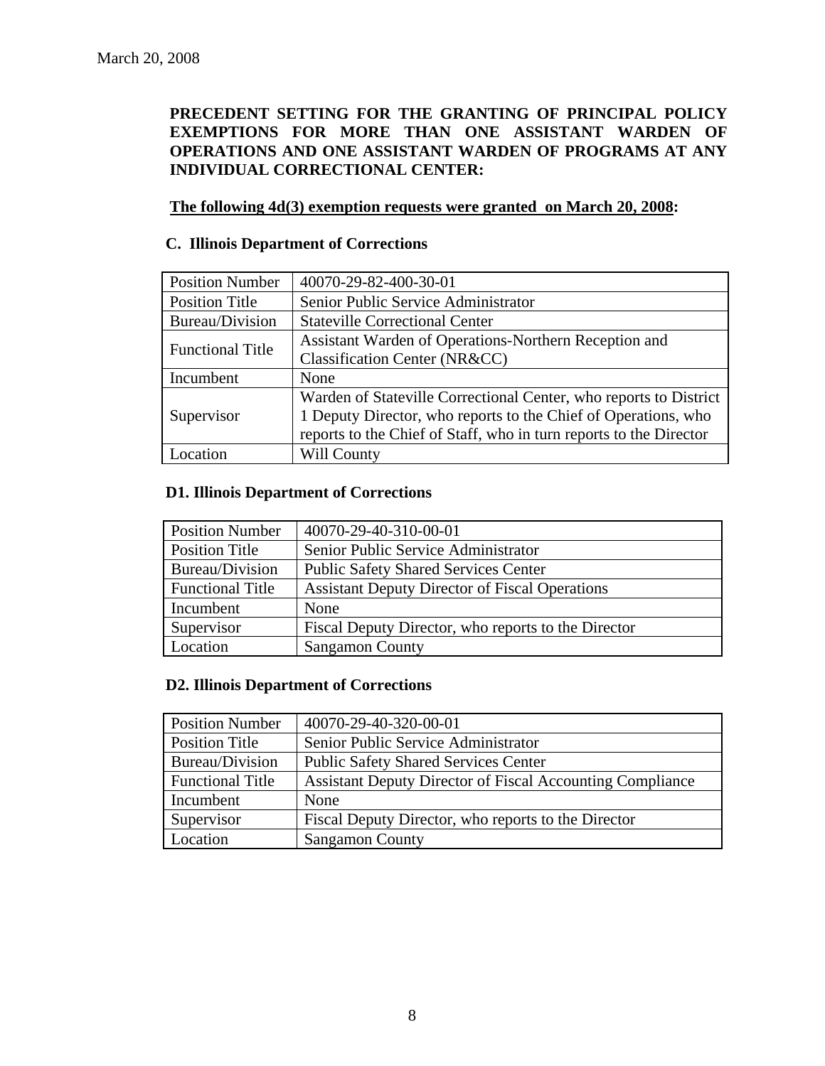# **PRECEDENT SETTING FOR THE GRANTING OF PRINCIPAL POLICY EXEMPTIONS FOR MORE THAN ONE ASSISTANT WARDEN OF OPERATIONS AND ONE ASSISTANT WARDEN OF PROGRAMS AT ANY INDIVIDUAL CORRECTIONAL CENTER:**

# **The following 4d(3) exemption requests were granted on March 20, 2008:**

# **C. Illinois Department of Corrections**

| <b>Position Number</b>  | 40070-29-82-400-30-01                                              |
|-------------------------|--------------------------------------------------------------------|
| <b>Position Title</b>   | Senior Public Service Administrator                                |
| Bureau/Division         | <b>Stateville Correctional Center</b>                              |
| <b>Functional Title</b> | Assistant Warden of Operations-Northern Reception and              |
|                         | Classification Center (NR&CC)                                      |
| Incumbent               | None                                                               |
|                         | Warden of Stateville Correctional Center, who reports to District  |
| Supervisor              | 1 Deputy Director, who reports to the Chief of Operations, who     |
|                         | reports to the Chief of Staff, who in turn reports to the Director |
| ocation                 | Will County                                                        |

# **D1. Illinois Department of Corrections**

| <b>Position Number</b>  | 40070-29-40-310-00-01                                 |
|-------------------------|-------------------------------------------------------|
| <b>Position Title</b>   | Senior Public Service Administrator                   |
| Bureau/Division         | <b>Public Safety Shared Services Center</b>           |
| <b>Functional Title</b> | <b>Assistant Deputy Director of Fiscal Operations</b> |
| Incumbent               | None                                                  |
| Supervisor              | Fiscal Deputy Director, who reports to the Director   |
| Location                | <b>Sangamon County</b>                                |

## **D2. Illinois Department of Corrections**

| <b>Position Number</b>  | 40070-29-40-320-00-01                                     |
|-------------------------|-----------------------------------------------------------|
| Position Title          | Senior Public Service Administrator                       |
| Bureau/Division         | <b>Public Safety Shared Services Center</b>               |
| <b>Functional Title</b> | Assistant Deputy Director of Fiscal Accounting Compliance |
| Incumbent               | None                                                      |
| Supervisor              | Fiscal Deputy Director, who reports to the Director       |
| Location                | <b>Sangamon County</b>                                    |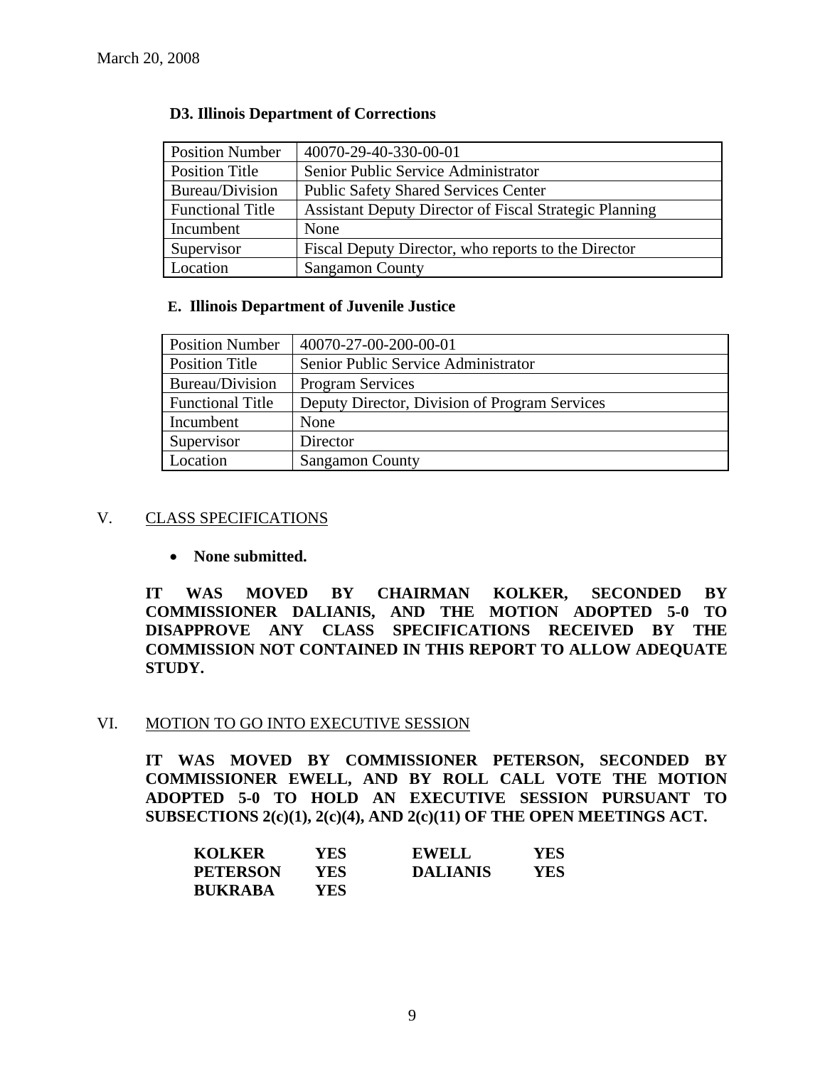| <b>Position Number</b>  | 40070-29-40-330-00-01                                         |
|-------------------------|---------------------------------------------------------------|
| <b>Position Title</b>   | Senior Public Service Administrator                           |
| Bureau/Division         | <b>Public Safety Shared Services Center</b>                   |
| <b>Functional Title</b> | <b>Assistant Deputy Director of Fiscal Strategic Planning</b> |
| Incumbent               | None                                                          |
| Supervisor              | Fiscal Deputy Director, who reports to the Director           |
| Location                | <b>Sangamon County</b>                                        |

#### **D3. Illinois Department of Corrections**

## **E. Illinois Department of Juvenile Justice**

| <b>Position Number</b>  | 40070-27-00-200-00-01                         |
|-------------------------|-----------------------------------------------|
| Position Title          | Senior Public Service Administrator           |
| Bureau/Division         | <b>Program Services</b>                       |
| <b>Functional Title</b> | Deputy Director, Division of Program Services |
| Incumbent               | None                                          |
| Supervisor              | Director                                      |
| Location                | <b>Sangamon County</b>                        |

## V. CLASS SPECIFICATIONS

• **None submitted.** 

**IT WAS MOVED BY CHAIRMAN KOLKER, SECONDED BY COMMISSIONER DALIANIS, AND THE MOTION ADOPTED 5-0 TO DISAPPROVE ANY CLASS SPECIFICATIONS RECEIVED BY THE COMMISSION NOT CONTAINED IN THIS REPORT TO ALLOW ADEQUATE STUDY.** 

## VI. MOTION TO GO INTO EXECUTIVE SESSION

**IT WAS MOVED BY COMMISSIONER PETERSON, SECONDED BY COMMISSIONER EWELL, AND BY ROLL CALL VOTE THE MOTION ADOPTED 5-0 TO HOLD AN EXECUTIVE SESSION PURSUANT TO SUBSECTIONS 2(c)(1), 2(c)(4), AND 2(c)(11) OF THE OPEN MEETINGS ACT.** 

| <b>KOLKER</b>   | YES  | <b>EWELL</b>    | YES |
|-----------------|------|-----------------|-----|
| <b>PETERSON</b> | YES. | <b>DALIANIS</b> | YES |
| <b>BUKRABA</b>  | YES. |                 |     |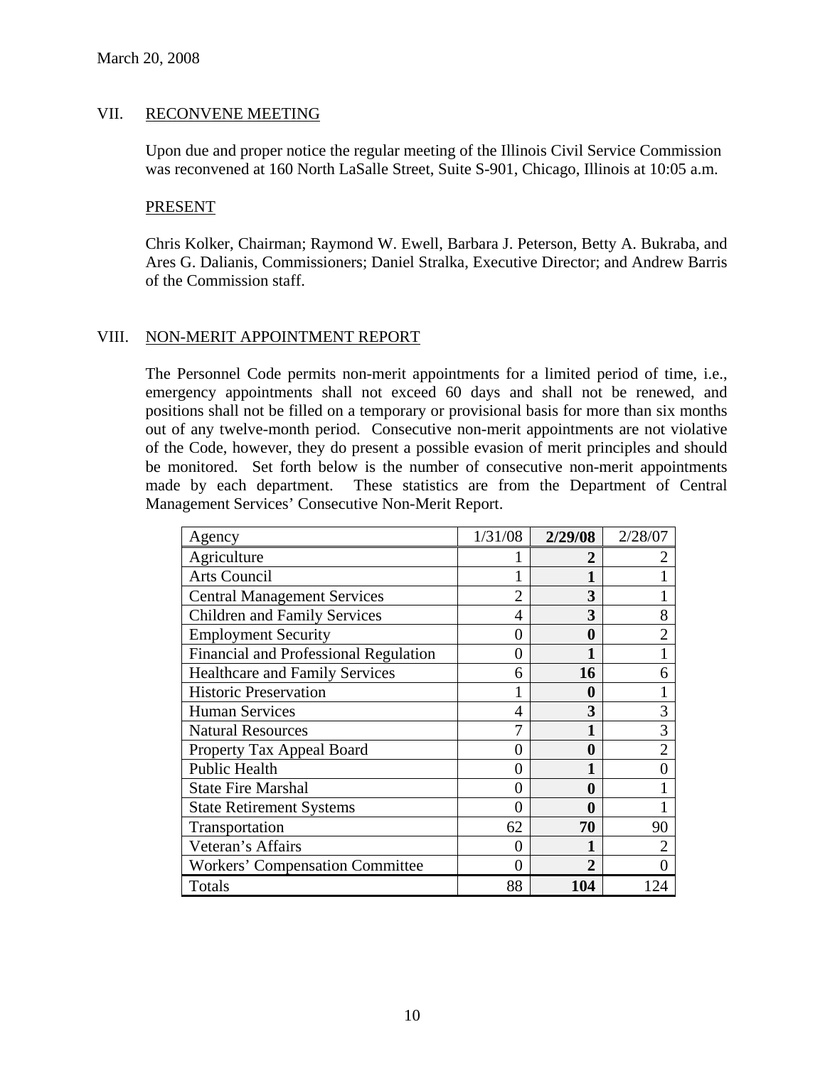# VII. RECONVENE MEETING

Upon due and proper notice the regular meeting of the Illinois Civil Service Commission was reconvened at 160 North LaSalle Street, Suite S-901, Chicago, Illinois at 10:05 a.m.

## PRESENT

Chris Kolker, Chairman; Raymond W. Ewell, Barbara J. Peterson, Betty A. Bukraba, and Ares G. Dalianis, Commissioners; Daniel Stralka, Executive Director; and Andrew Barris of the Commission staff.

# VIII. NON-MERIT APPOINTMENT REPORT

The Personnel Code permits non-merit appointments for a limited period of time, i.e., emergency appointments shall not exceed 60 days and shall not be renewed, and positions shall not be filled on a temporary or provisional basis for more than six months out of any twelve-month period. Consecutive non-merit appointments are not violative of the Code, however, they do present a possible evasion of merit principles and should be monitored. Set forth below is the number of consecutive non-merit appointments made by each department. These statistics are from the Department of Central Management Services' Consecutive Non-Merit Report.

| Agency                                 | 1/31/08        | 2/29/08          | 2/28/07        |
|----------------------------------------|----------------|------------------|----------------|
| Agriculture                            |                | 2                |                |
| Arts Council                           |                |                  |                |
| <b>Central Management Services</b>     | $\overline{2}$ | 3                |                |
| <b>Children and Family Services</b>    | 4              | 3                | 8              |
| <b>Employment Security</b>             | 0              | 0                | $\overline{2}$ |
| Financial and Professional Regulation  | 0              |                  |                |
| <b>Healthcare and Family Services</b>  | 6              | 16               | 6              |
| <b>Historic Preservation</b>           |                | 0                |                |
| <b>Human Services</b>                  | 4              | 3                | 3              |
| <b>Natural Resources</b>               |                | 1                | 3              |
| Property Tax Appeal Board              | 0              | $\boldsymbol{0}$ | $\overline{2}$ |
| Public Health                          | 0              | 1                | 0              |
| <b>State Fire Marshal</b>              | 0              | 0                |                |
| <b>State Retirement Systems</b>        | 0              | 0                |                |
| Transportation                         | 62             | 70               | 90             |
| Veteran's Affairs                      | 0              |                  | $\overline{2}$ |
| <b>Workers' Compensation Committee</b> | 0              | $\mathfrak{D}$   |                |
| Totals                                 | 88             | 104              |                |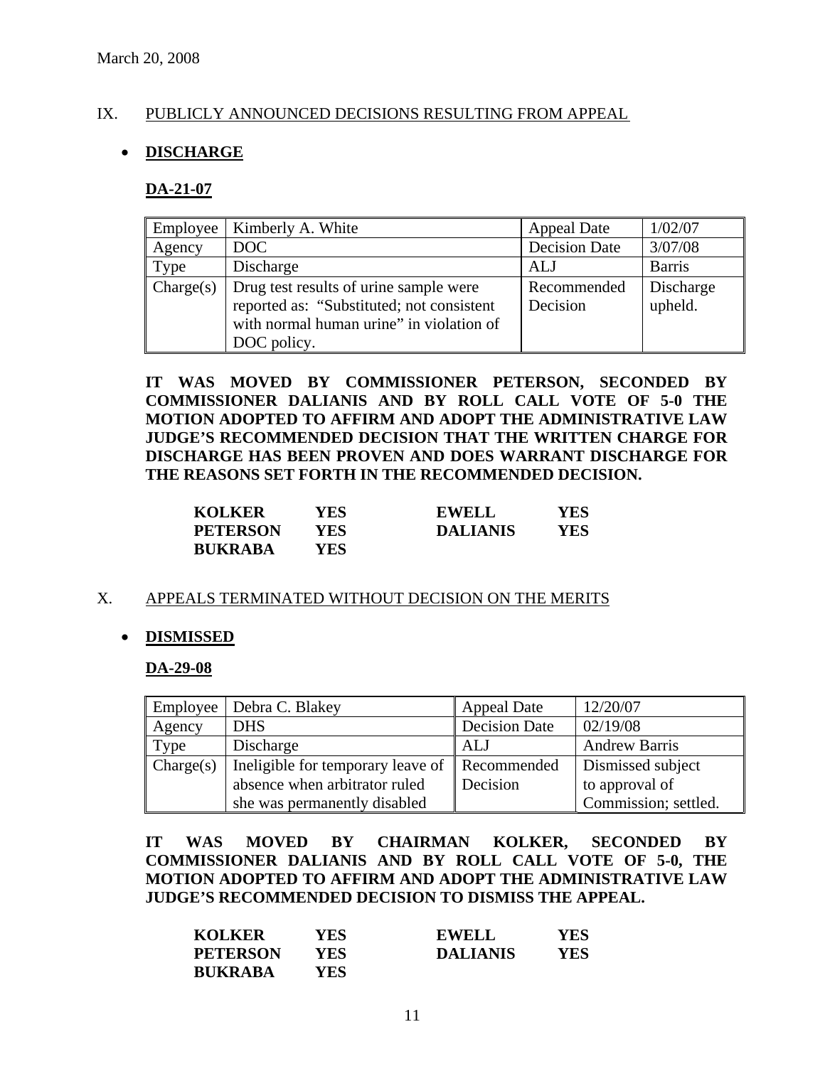# IX. PUBLICLY ANNOUNCED DECISIONS RESULTING FROM APPEAL

# • **DISCHARGE**

#### **DA-21-07**

|           | Employee   Kimberly A. White                                                                                                                   | <b>Appeal Date</b>      | 1/02/07              |
|-----------|------------------------------------------------------------------------------------------------------------------------------------------------|-------------------------|----------------------|
| Agency    | DOC                                                                                                                                            | <b>Decision Date</b>    | 3/07/08              |
| Type      | Discharge                                                                                                                                      | ALJ                     | <b>Barris</b>        |
| Change(s) | Drug test results of urine sample were<br>reported as: "Substituted; not consistent<br>with normal human urine" in violation of<br>DOC policy. | Recommended<br>Decision | Discharge<br>upheld. |

**IT WAS MOVED BY COMMISSIONER PETERSON, SECONDED BY COMMISSIONER DALIANIS AND BY ROLL CALL VOTE OF 5-0 THE MOTION ADOPTED TO AFFIRM AND ADOPT THE ADMINISTRATIVE LAW JUDGE'S RECOMMENDED DECISION THAT THE WRITTEN CHARGE FOR DISCHARGE HAS BEEN PROVEN AND DOES WARRANT DISCHARGE FOR THE REASONS SET FORTH IN THE RECOMMENDED DECISION.** 

| <b>KOLKER</b>   | YES. | <b>EWELL</b>    | YES |
|-----------------|------|-----------------|-----|
| <b>PETERSON</b> | YES  | <b>DALIANIS</b> | YES |
| <b>BUKRABA</b>  | YES  |                 |     |

## X. APPEALS TERMINATED WITHOUT DECISION ON THE MERITS

## • **DISMISSED**

#### **DA-29-08**

|           | Employee   Debra C. Blakey                    | <b>Appeal Date</b>   | 12/20/07             |
|-----------|-----------------------------------------------|----------------------|----------------------|
| Agency    | <b>DHS</b>                                    | <b>Decision Date</b> | 02/19/08             |
| Type      | Discharge                                     | ALJ                  | <b>Andrew Barris</b> |
| Change(s) | Ineligible for temporary leave of Recommended |                      | Dismissed subject    |
|           | absence when arbitrator ruled                 | Decision             | to approval of       |
|           | she was permanently disabled                  |                      | Commission; settled. |

**IT WAS MOVED BY CHAIRMAN KOLKER, SECONDED BY COMMISSIONER DALIANIS AND BY ROLL CALL VOTE OF 5-0, THE MOTION ADOPTED TO AFFIRM AND ADOPT THE ADMINISTRATIVE LAW JUDGE'S RECOMMENDED DECISION TO DISMISS THE APPEAL.** 

| <b>KOLKER</b>   | YES | <b>EWELL</b>    | YES |
|-----------------|-----|-----------------|-----|
| <b>PETERSON</b> | YES | <b>DALIANIS</b> | YES |
| <b>BUKRABA</b>  | YES |                 |     |